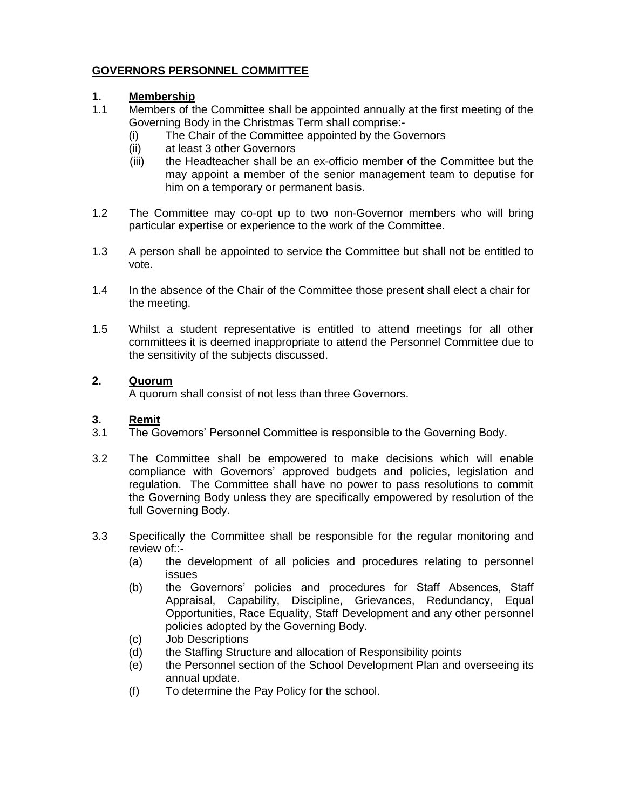## **GOVERNORS PERSONNEL COMMITTEE**

### **1. Membership**

- 1.1 Members of the Committee shall be appointed annually at the first meeting of the Governing Body in the Christmas Term shall comprise:-
	- (i) The Chair of the Committee appointed by the Governors
	- (ii) at least 3 other Governors
	- (iii) the Headteacher shall be an ex-officio member of the Committee but the may appoint a member of the senior management team to deputise for him on a temporary or permanent basis.
- 1.2 The Committee may co-opt up to two non-Governor members who will bring particular expertise or experience to the work of the Committee.
- 1.3 A person shall be appointed to service the Committee but shall not be entitled to vote.
- 1.4 In the absence of the Chair of the Committee those present shall elect a chair for the meeting.
- 1.5 Whilst a student representative is entitled to attend meetings for all other committees it is deemed inappropriate to attend the Personnel Committee due to the sensitivity of the subjects discussed.

#### **2. Quorum**

A quorum shall consist of not less than three Governors.

## **3. Remit**

- 3.1 The Governors' Personnel Committee is responsible to the Governing Body.
- 3.2 The Committee shall be empowered to make decisions which will enable compliance with Governors' approved budgets and policies, legislation and regulation. The Committee shall have no power to pass resolutions to commit the Governing Body unless they are specifically empowered by resolution of the full Governing Body.
- 3.3 Specifically the Committee shall be responsible for the regular monitoring and review of::-
	- (a) the development of all policies and procedures relating to personnel issues
	- (b) the Governors' policies and procedures for Staff Absences, Staff Appraisal, Capability, Discipline, Grievances, Redundancy, Equal Opportunities, Race Equality, Staff Development and any other personnel policies adopted by the Governing Body.
	- (c) Job Descriptions
	- (d) the Staffing Structure and allocation of Responsibility points
	- (e) the Personnel section of the School Development Plan and overseeing its annual update.
	- (f) To determine the Pay Policy for the school.